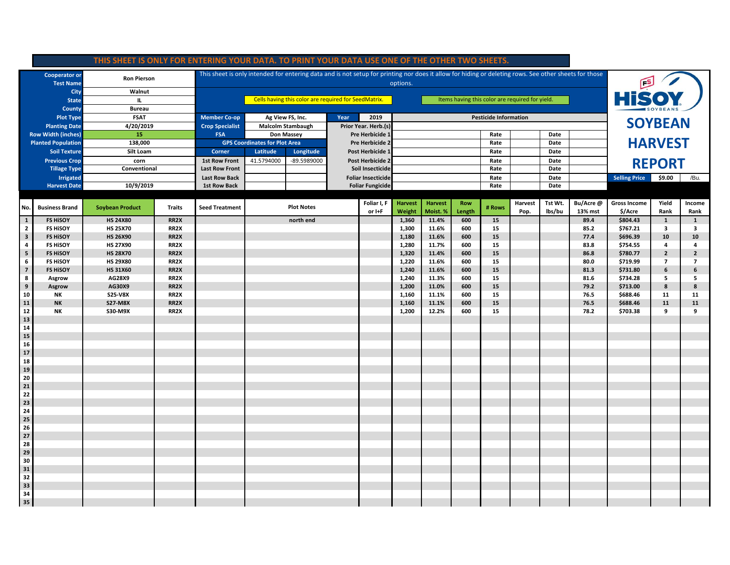| THIS SHEET IS ONLY FOR ENTERING YOUR DATA. TO PRINT YOUR DATA USE ONE OF THE OTHER TWO SHEETS. |                       |                        |                   |                                                                                                                                                                   |                                           |                          |                           |                         |                          |                            |                      |                              |                 |         |                                |                     |                |                         |
|------------------------------------------------------------------------------------------------|-----------------------|------------------------|-------------------|-------------------------------------------------------------------------------------------------------------------------------------------------------------------|-------------------------------------------|--------------------------|---------------------------|-------------------------|--------------------------|----------------------------|----------------------|------------------------------|-----------------|---------|--------------------------------|---------------------|----------------|-------------------------|
| <b>Cooperator or</b><br><b>Test Name</b>                                                       |                       | <b>Ron Pierson</b>     |                   | This sheet is only intended for entering data and is not setup for printing nor does it allow for hiding or deleting rows. See other sheets for those<br>options. |                                           |                          |                           |                         |                          |                            |                      |                              |                 | HiSOY   |                                |                     |                |                         |
| City                                                                                           |                       | Walnut                 |                   |                                                                                                                                                                   |                                           |                          |                           |                         |                          |                            |                      |                              |                 |         |                                |                     |                |                         |
| <b>State</b>                                                                                   |                       | Ш.                     |                   | Cells having this color are required for SeedMatrix.<br>Items having this color are required for yield.                                                           |                                           |                          |                           |                         |                          |                            |                      |                              |                 |         |                                |                     |                |                         |
| County                                                                                         |                       | <b>Bureau</b>          |                   |                                                                                                                                                                   |                                           |                          |                           |                         |                          |                            |                      |                              |                 |         |                                |                     |                |                         |
| <b>Plot Type</b>                                                                               |                       | <b>FSAT</b>            |                   | <b>Member Co-op</b>                                                                                                                                               |                                           | Ag View FS, Inc.         | Year                      | 2019                    |                          |                            |                      | <b>Pesticide Information</b> |                 |         |                                |                     |                |                         |
| <b>Planting Date</b>                                                                           |                       | 4/20/2019              |                   | <b>Crop Specialist</b>                                                                                                                                            |                                           | <b>Malcolm Stambaugh</b> |                           | Prior Year. Herb.(s)    |                          |                            |                      |                              |                 |         |                                | <b>SOYBEAN</b>      |                |                         |
| <b>Row Width (inches)</b>                                                                      |                       | 15                     |                   | <b>FSA</b>                                                                                                                                                        |                                           | Don Massey               |                           | Pre Herbicide 1         |                          |                            | Rate                 |                              | Date            |         |                                |                     |                |                         |
| <b>Planted Population</b>                                                                      |                       | 138,000                |                   |                                                                                                                                                                   | <b>GPS Coordinates for Plot Area</b>      |                          |                           | Pre Herbicide 2         |                          |                            |                      |                              |                 | Date    |                                | <b>HARVEST</b>      |                |                         |
| <b>Soil Texture</b>                                                                            |                       | Silt Loam              |                   | Corner                                                                                                                                                            | Latitude<br>Post Herbicide 1<br>Longitude |                          |                           | Rate                    | Date                     |                            |                      |                              |                 |         |                                |                     |                |                         |
| <b>Previous Crop</b>                                                                           |                       | corn                   |                   | <b>1st Row Front</b>                                                                                                                                              | 41.5794000                                | -89.5989000              |                           | Post Herbicide 2        |                          |                            |                      | Rate                         |                 | Date    |                                | <b>REPORT</b>       |                |                         |
| <b>Tillage Type</b>                                                                            |                       | Conventional           |                   | <b>Last Row Front</b>                                                                                                                                             |                                           | Soil Insecticide<br>Rate |                           |                         | Date                     |                            |                      |                              |                 |         |                                |                     |                |                         |
| Irrigated                                                                                      |                       |                        |                   | <b>Last Row Back</b>                                                                                                                                              |                                           |                          | <b>Foliar Insecticide</b> |                         |                          |                            | Rate                 |                              | Date            |         | <b>Selling Price</b><br>\$9.00 |                     | /Bu.           |                         |
|                                                                                                | <b>Harvest Date</b>   | 10/9/2019              |                   | <b>1st Row Back</b>                                                                                                                                               |                                           |                          |                           | <b>Foliar Fungicide</b> |                          |                            |                      | Rate                         |                 | Date    |                                |                     |                |                         |
|                                                                                                |                       |                        |                   |                                                                                                                                                                   |                                           |                          |                           |                         |                          |                            |                      |                              |                 | Tst Wt. | Bu/Acre@                       | <b>Gross Income</b> | Yield          |                         |
| No.                                                                                            | <b>Business Brand</b> | <b>Soybean Product</b> | <b>Traits</b>     | <b>Seed Treatment</b>                                                                                                                                             |                                           | <b>Plot Notes</b>        |                           | Foliar I, F<br>or I+F   | <b>Harvest</b><br>Weight | <b>Harvest</b><br>Moist. % | <b>Row</b><br>Length | # Rows                       | Harvest<br>Pop. | lbs/bu  | 13% mst                        | \$/Acre             | Rank           | Income<br>Rank          |
| $\mathbf{1}$                                                                                   | <b>FS HISOY</b>       | <b>HS 24X80</b>        | RR2X              |                                                                                                                                                                   |                                           | north end                |                           |                         | 1,360                    | 11.4%                      | 600                  | 15                           |                 |         | 89.4                           | \$804.43            | $\mathbf{1}$   | $\mathbf{1}$            |
| $\overline{2}$                                                                                 | <b>FS HISOY</b>       | <b>HS 25X70</b>        | RR <sub>2</sub> X |                                                                                                                                                                   |                                           |                          |                           |                         | 1,300                    | 11.6%                      | 600                  | 15                           |                 |         | 85.2                           | \$767.21            | 3              | $\overline{\mathbf{3}}$ |
| $\mathbf{3}$                                                                                   | <b>FS HISOY</b>       | <b>HS 26X90</b>        | RR <sub>2</sub> X |                                                                                                                                                                   |                                           |                          |                           |                         | 1,180                    | 11.6%                      | 600                  | 15                           |                 |         | 77.4                           | \$696.39            | 10             | 10                      |
| $\overline{\mathbf{4}}$                                                                        | <b>FS HISOY</b>       | <b>HS 27X90</b>        | RR <sub>2</sub> X |                                                                                                                                                                   |                                           |                          |                           |                         | 1,280                    | 11.7%                      | 600                  | 15                           |                 |         | 83.8                           | \$754.55            | 4              | 4                       |
| ${\bf 5}$                                                                                      | <b>FS HISOY</b>       | <b>HS 28X70</b>        | RR <sub>2</sub> X |                                                                                                                                                                   |                                           |                          |                           |                         | 1,320                    | 11.4%                      | 600                  | 15                           |                 |         | 86.8                           | \$780.77            | $\overline{2}$ | $\overline{2}$          |
| $\bf 6$                                                                                        | <b>FS HISOY</b>       | <b>HS 29X80</b>        | RR <sub>2</sub> X |                                                                                                                                                                   |                                           |                          |                           |                         | 1,220                    | 11.6%                      | 600                  | 15                           |                 |         | 80.0                           | \$719.99            | $\overline{7}$ | $\overline{7}$          |
| $\overline{7}$                                                                                 | <b>FS HISOY</b>       | <b>HS 31X60</b>        | RR <sub>2</sub> X |                                                                                                                                                                   |                                           |                          |                           |                         | 1,240                    | 11.6%                      | 600                  | 15                           |                 |         | 81.3                           | \$731.80            | 6              | 6                       |
| 8                                                                                              | Asgrow                | AG28X9                 | RR <sub>2</sub> X |                                                                                                                                                                   |                                           |                          |                           |                         | 1,240                    | 11.3%                      | 600                  | 15                           |                 |         | 81.6                           | \$734.28            | 5              | 5                       |
| $\boldsymbol{9}$                                                                               | Asgrow                | AG30X9                 | RR <sub>2</sub> X |                                                                                                                                                                   |                                           |                          |                           |                         | 1,200                    | 11.0%                      | 600                  | 15                           |                 |         | 79.2                           | \$713.00            | 8              | 8                       |
| 10                                                                                             | NΚ                    | <b>S25-V8X</b>         | RR <sub>2</sub> X |                                                                                                                                                                   |                                           |                          |                           |                         | 1,160                    | 11.1%                      | 600                  | 15                           |                 |         | 76.5                           | \$688.46            | 11             | 11                      |
| ${\bf 11}$                                                                                     | <b>NK</b>             | <b>S27-M8X</b>         | RR2X              |                                                                                                                                                                   |                                           |                          |                           |                         | 1,160                    | 11.1%                      | 600                  | 15                           |                 |         | 76.5                           | \$688.46            | 11             | 11                      |
| ${\bf 12}$                                                                                     | NΚ                    | S30-M9X                | RR <sub>2</sub> X |                                                                                                                                                                   |                                           |                          |                           |                         | 1,200                    | 12.2%                      | 600                  | 15                           |                 |         | 78.2                           | \$703.38            | 9              | 9                       |
| 13                                                                                             |                       |                        |                   |                                                                                                                                                                   |                                           |                          |                           |                         |                          |                            |                      |                              |                 |         |                                |                     |                |                         |
| 14<br>15                                                                                       |                       |                        |                   |                                                                                                                                                                   |                                           |                          |                           |                         |                          |                            |                      |                              |                 |         |                                |                     |                |                         |
| 16                                                                                             |                       |                        |                   |                                                                                                                                                                   |                                           |                          |                           |                         |                          |                            |                      |                              |                 |         |                                |                     |                |                         |
| ${\bf 17}$                                                                                     |                       |                        |                   |                                                                                                                                                                   |                                           |                          |                           |                         |                          |                            |                      |                              |                 |         |                                |                     |                |                         |
| 18                                                                                             |                       |                        |                   |                                                                                                                                                                   |                                           |                          |                           |                         |                          |                            |                      |                              |                 |         |                                |                     |                |                         |
| 19                                                                                             |                       |                        |                   |                                                                                                                                                                   |                                           |                          |                           |                         |                          |                            |                      |                              |                 |         |                                |                     |                |                         |
| 20                                                                                             |                       |                        |                   |                                                                                                                                                                   |                                           |                          |                           |                         |                          |                            |                      |                              |                 |         |                                |                     |                |                         |
| 21                                                                                             |                       |                        |                   |                                                                                                                                                                   |                                           |                          |                           |                         |                          |                            |                      |                              |                 |         |                                |                     |                |                         |
| 22                                                                                             |                       |                        |                   |                                                                                                                                                                   |                                           |                          |                           |                         |                          |                            |                      |                              |                 |         |                                |                     |                |                         |
| 23                                                                                             |                       |                        |                   |                                                                                                                                                                   |                                           |                          |                           |                         |                          |                            |                      |                              |                 |         |                                |                     |                |                         |
| 24                                                                                             |                       |                        |                   |                                                                                                                                                                   |                                           |                          |                           |                         |                          |                            |                      |                              |                 |         |                                |                     |                |                         |
| 25                                                                                             |                       |                        |                   |                                                                                                                                                                   |                                           |                          |                           |                         |                          |                            |                      |                              |                 |         |                                |                     |                |                         |
| 26                                                                                             |                       |                        |                   |                                                                                                                                                                   |                                           |                          |                           |                         |                          |                            |                      |                              |                 |         |                                |                     |                |                         |
| 27                                                                                             |                       |                        |                   |                                                                                                                                                                   |                                           |                          |                           |                         |                          |                            |                      |                              |                 |         |                                |                     |                |                         |
| 28                                                                                             |                       |                        |                   |                                                                                                                                                                   |                                           |                          |                           |                         |                          |                            |                      |                              |                 |         |                                |                     |                |                         |
| 29<br>30                                                                                       |                       |                        |                   |                                                                                                                                                                   |                                           |                          |                           |                         |                          |                            |                      |                              |                 |         |                                |                     |                |                         |
| 31                                                                                             |                       |                        |                   |                                                                                                                                                                   |                                           |                          |                           |                         |                          |                            |                      |                              |                 |         |                                |                     |                |                         |
| 32                                                                                             |                       |                        |                   |                                                                                                                                                                   |                                           |                          |                           |                         |                          |                            |                      |                              |                 |         |                                |                     |                |                         |
| 33                                                                                             |                       |                        |                   |                                                                                                                                                                   |                                           |                          |                           |                         |                          |                            |                      |                              |                 |         |                                |                     |                |                         |
| 34                                                                                             |                       |                        |                   |                                                                                                                                                                   |                                           |                          |                           |                         |                          |                            |                      |                              |                 |         |                                |                     |                |                         |
| 35                                                                                             |                       |                        |                   |                                                                                                                                                                   |                                           |                          |                           |                         |                          |                            |                      |                              |                 |         |                                |                     |                |                         |